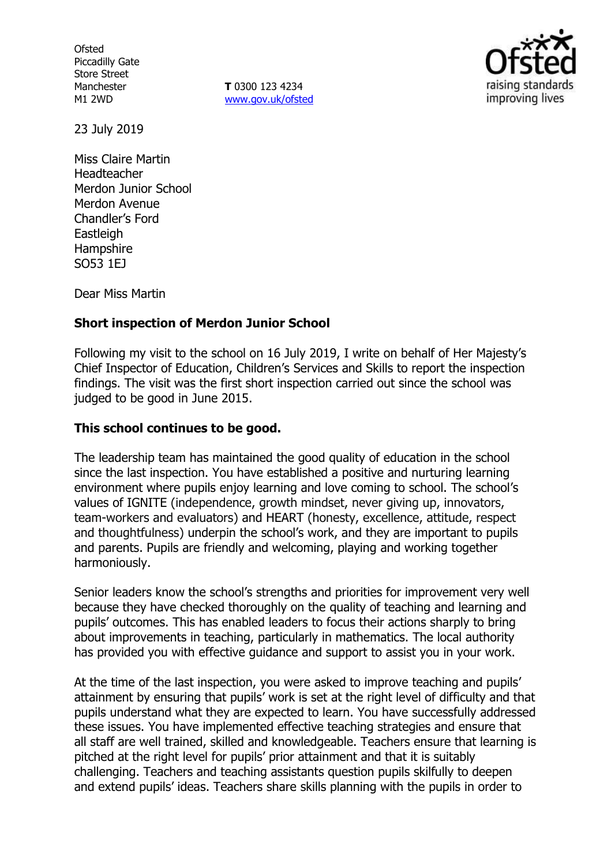**Ofsted** Piccadilly Gate Store Street Manchester M1 2WD

**T** 0300 123 4234 www.gov.uk/ofsted



23 July 2019

Miss Claire Martin Headteacher Merdon Junior School Merdon Avenue Chandler's Ford **Eastleigh Hampshire** SO53 1EJ

Dear Miss Martin

### **Short inspection of Merdon Junior School**

Following my visit to the school on 16 July 2019, I write on behalf of Her Majesty's Chief Inspector of Education, Children's Services and Skills to report the inspection findings. The visit was the first short inspection carried out since the school was judged to be good in June 2015.

### **This school continues to be good.**

The leadership team has maintained the good quality of education in the school since the last inspection. You have established a positive and nurturing learning environment where pupils enjoy learning and love coming to school. The school's values of IGNITE (independence, growth mindset, never giving up, innovators, team-workers and evaluators) and HEART (honesty, excellence, attitude, respect and thoughtfulness) underpin the school's work, and they are important to pupils and parents. Pupils are friendly and welcoming, playing and working together harmoniously.

Senior leaders know the school's strengths and priorities for improvement very well because they have checked thoroughly on the quality of teaching and learning and pupils' outcomes. This has enabled leaders to focus their actions sharply to bring about improvements in teaching, particularly in mathematics. The local authority has provided you with effective guidance and support to assist you in your work.

At the time of the last inspection, you were asked to improve teaching and pupils' attainment by ensuring that pupils' work is set at the right level of difficulty and that pupils understand what they are expected to learn. You have successfully addressed these issues. You have implemented effective teaching strategies and ensure that all staff are well trained, skilled and knowledgeable. Teachers ensure that learning is pitched at the right level for pupils' prior attainment and that it is suitably challenging. Teachers and teaching assistants question pupils skilfully to deepen and extend pupils' ideas. Teachers share skills planning with the pupils in order to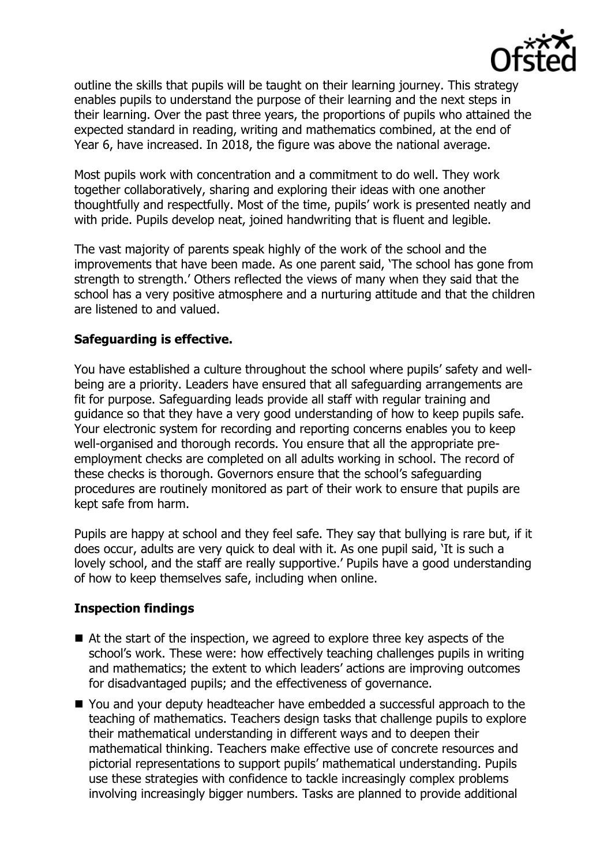

outline the skills that pupils will be taught on their learning journey. This strategy enables pupils to understand the purpose of their learning and the next steps in their learning. Over the past three years, the proportions of pupils who attained the expected standard in reading, writing and mathematics combined, at the end of Year 6, have increased. In 2018, the figure was above the national average.

Most pupils work with concentration and a commitment to do well. They work together collaboratively, sharing and exploring their ideas with one another thoughtfully and respectfully. Most of the time, pupils' work is presented neatly and with pride. Pupils develop neat, joined handwriting that is fluent and legible.

The vast majority of parents speak highly of the work of the school and the improvements that have been made. As one parent said, 'The school has gone from strength to strength.' Others reflected the views of many when they said that the school has a very positive atmosphere and a nurturing attitude and that the children are listened to and valued.

## **Safeguarding is effective.**

You have established a culture throughout the school where pupils' safety and wellbeing are a priority. Leaders have ensured that all safeguarding arrangements are fit for purpose. Safeguarding leads provide all staff with regular training and guidance so that they have a very good understanding of how to keep pupils safe. Your electronic system for recording and reporting concerns enables you to keep well-organised and thorough records. You ensure that all the appropriate preemployment checks are completed on all adults working in school. The record of these checks is thorough. Governors ensure that the school's safeguarding procedures are routinely monitored as part of their work to ensure that pupils are kept safe from harm.

Pupils are happy at school and they feel safe. They say that bullying is rare but, if it does occur, adults are very quick to deal with it. As one pupil said, 'It is such a lovely school, and the staff are really supportive.' Pupils have a good understanding of how to keep themselves safe, including when online.

# **Inspection findings**

- At the start of the inspection, we agreed to explore three key aspects of the school's work. These were: how effectively teaching challenges pupils in writing and mathematics; the extent to which leaders' actions are improving outcomes for disadvantaged pupils; and the effectiveness of governance.
- You and your deputy headteacher have embedded a successful approach to the teaching of mathematics. Teachers design tasks that challenge pupils to explore their mathematical understanding in different ways and to deepen their mathematical thinking. Teachers make effective use of concrete resources and pictorial representations to support pupils' mathematical understanding. Pupils use these strategies with confidence to tackle increasingly complex problems involving increasingly bigger numbers. Tasks are planned to provide additional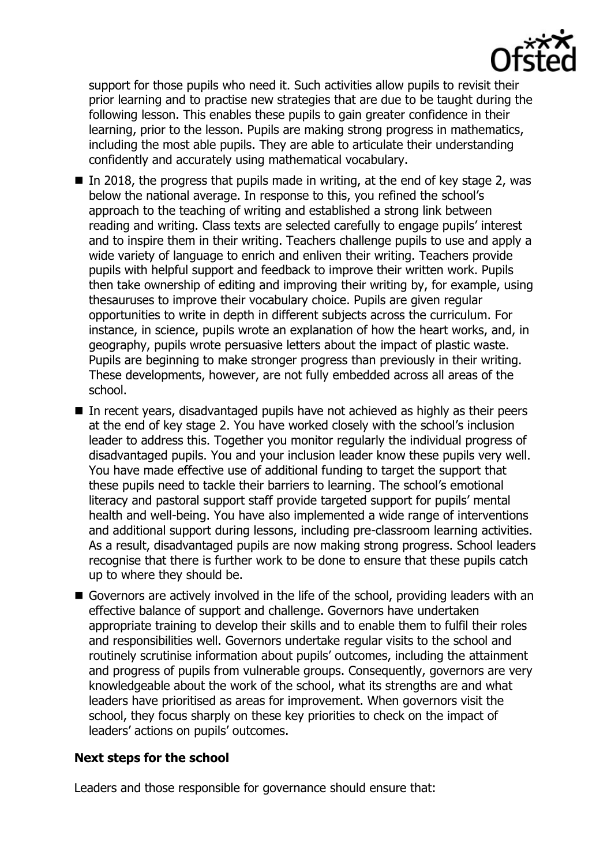

support for those pupils who need it. Such activities allow pupils to revisit their prior learning and to practise new strategies that are due to be taught during the following lesson. This enables these pupils to gain greater confidence in their learning, prior to the lesson. Pupils are making strong progress in mathematics, including the most able pupils. They are able to articulate their understanding confidently and accurately using mathematical vocabulary.

- In 2018, the progress that pupils made in writing, at the end of key stage 2, was below the national average. In response to this, you refined the school's approach to the teaching of writing and established a strong link between reading and writing. Class texts are selected carefully to engage pupils' interest and to inspire them in their writing. Teachers challenge pupils to use and apply a wide variety of language to enrich and enliven their writing. Teachers provide pupils with helpful support and feedback to improve their written work. Pupils then take ownership of editing and improving their writing by, for example, using thesauruses to improve their vocabulary choice. Pupils are given regular opportunities to write in depth in different subjects across the curriculum. For instance, in science, pupils wrote an explanation of how the heart works, and, in geography, pupils wrote persuasive letters about the impact of plastic waste. Pupils are beginning to make stronger progress than previously in their writing. These developments, however, are not fully embedded across all areas of the school.
- In recent years, disadvantaged pupils have not achieved as highly as their peers at the end of key stage 2. You have worked closely with the school's inclusion leader to address this. Together you monitor regularly the individual progress of disadvantaged pupils. You and your inclusion leader know these pupils very well. You have made effective use of additional funding to target the support that these pupils need to tackle their barriers to learning. The school's emotional literacy and pastoral support staff provide targeted support for pupils' mental health and well-being. You have also implemented a wide range of interventions and additional support during lessons, including pre-classroom learning activities. As a result, disadvantaged pupils are now making strong progress. School leaders recognise that there is further work to be done to ensure that these pupils catch up to where they should be.
- Governors are actively involved in the life of the school, providing leaders with an effective balance of support and challenge. Governors have undertaken appropriate training to develop their skills and to enable them to fulfil their roles and responsibilities well. Governors undertake regular visits to the school and routinely scrutinise information about pupils' outcomes, including the attainment and progress of pupils from vulnerable groups. Consequently, governors are very knowledgeable about the work of the school, what its strengths are and what leaders have prioritised as areas for improvement. When governors visit the school, they focus sharply on these key priorities to check on the impact of leaders' actions on pupils' outcomes.

### **Next steps for the school**

Leaders and those responsible for governance should ensure that: